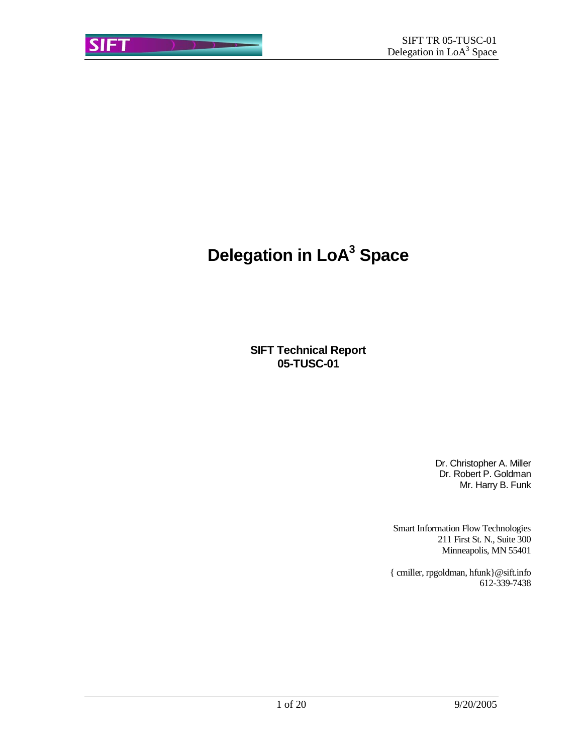# **Delegation in LoA<sup>3</sup> Space**

**SIFT Technical Report 05-TUSC-01**

> Dr. Christopher A. Miller Dr. Robert P. Goldman Mr. Harry B. Funk

Smart Information Flow Technologies 211 First St. N., Suite 300 Minneapolis, MN 55401

{ cmiller, rpgoldman, hfunk}@sift.info 612-339-7438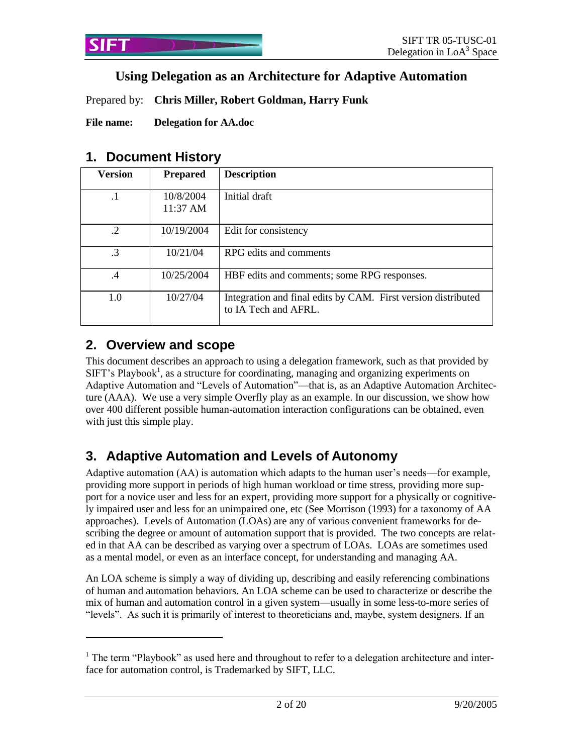## **Using Delegation as an Architecture for Adaptive Automation**

Prepared by: **Chris Miller, Robert Goldman, Harry Funk**

**File name: Delegation for AA.doc**

### **1. Document History**

| <b>Version</b> | <b>Prepared</b>       | <b>Description</b>                                                                    |
|----------------|-----------------------|---------------------------------------------------------------------------------------|
| $\cdot$ 1      | 10/8/2004<br>11:37 AM | Initial draft                                                                         |
| $\cdot$ 2      | 10/19/2004            | Edit for consistency                                                                  |
| .3             | 10/21/04              | RPG edits and comments                                                                |
| $\cdot$        | 10/25/2004            | HBF edits and comments; some RPG responses.                                           |
| 1.0            | 10/27/04              | Integration and final edits by CAM. First version distributed<br>to IA Tech and AFRL. |

# **2. Overview and scope**

 $\overline{a}$ 

This document describes an approach to using a delegation framework, such as that provided by  $SIFT's Playbook<sup>1</sup>$ , as a structure for coordinating, managing and organizing experiments on Adaptive Automation and "Levels of Automation"—that is, as an Adaptive Automation Architecture (AAA). We use a very simple Overfly play as an example. In our discussion, we show how over 400 different possible human-automation interaction configurations can be obtained, even with just this simple play.

# **3. Adaptive Automation and Levels of Autonomy**

Adaptive automation (AA) is automation which adapts to the human user's needs—for example, providing more support in periods of high human workload or time stress, providing more support for a novice user and less for an expert, providing more support for a physically or cognitively impaired user and less for an unimpaired one, etc (See Morrison (1993) for a taxonomy of AA approaches). Levels of Automation (LOAs) are any of various convenient frameworks for describing the degree or amount of automation support that is provided. The two concepts are related in that AA can be described as varying over a spectrum of LOAs. LOAs are sometimes used as a mental model, or even as an interface concept, for understanding and managing AA.

An LOA scheme is simply a way of dividing up, describing and easily referencing combinations of human and automation behaviors. An LOA scheme can be used to characterize or describe the mix of human and automation control in a given system—usually in some less-to-more series of "levels". As such it is primarily of interest to theoreticians and, maybe, system designers. If an

 $1$ . The term "Playbook" as used here and throughout to refer to a delegation architecture and interface for automation control, is Trademarked by SIFT, LLC.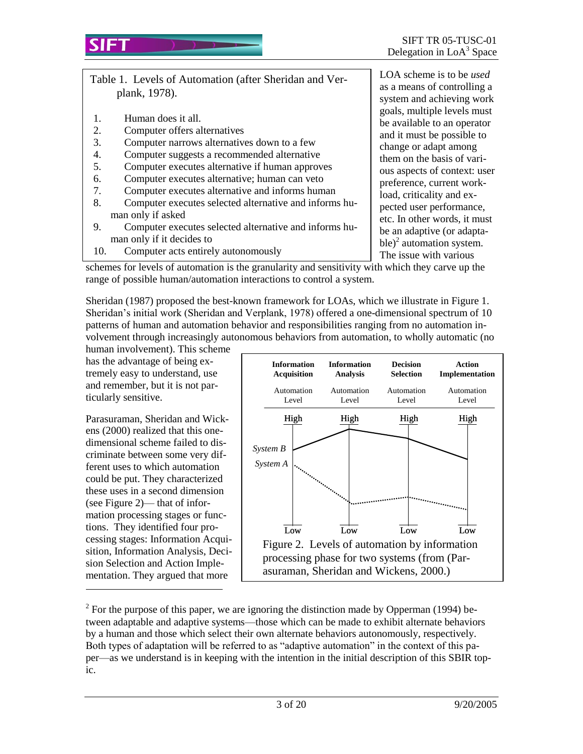Table 1. Levels of Automation (after Sheridan and Verplank, 1978).

- 1. Human does it all.
- 2. Computer offers alternatives
- 3. Computer narrows alternatives down to a few
- 4. Computer suggests a recommended alternative
- 5. Computer executes alternative if human approves
- 6. Computer executes alternative; human can veto
- 7. Computer executes alternative and informs human
- 8. Computer executes selected alternative and informs human only if asked
- 9. Computer executes selected alternative and informs human only if it decides to
- 10. Computer acts entirely autonomously

LOA scheme is to be *used*  as a means of controlling a system and achieving work goals, multiple levels must be available to an operator and it must be possible to change or adapt among them on the basis of various aspects of context: user preference, current workload, criticality and expected user performance, etc. In other words, it must be an adaptive (or adaptable)<sup>2</sup> automation system. The issue with various

schemes for levels of automation is the granularity and sensitivity with which they carve up the range of possible human/automation interactions to control a system.

Sheridan (1987) proposed the best-known framework for LOAs, which we illustrate in Figure 1. Sheridan's initial work (Sheridan and Verplank, 1978) offered a one-dimensional spectrum of 10 patterns of human and automation behavior and responsibilities ranging from no automation involvement through increasingly autonomous behaviors from automation, to wholly automatic (no

human involvement). This scheme has the advantage of being extremely easy to understand, use and remember, but it is not particularly sensitive.

Parasuraman, Sheridan and Wickens (2000) realized that this onedimensional scheme failed to discriminate between some very different uses to which automation could be put. They characterized these uses in a second dimension (see Figure 2)— that of information processing stages or functions. They identified four processing stages: Information Acquisition, Information Analysis, Decision Selection and Action Implementation. They argued that more

l



<sup>2</sup> For the purpose of this paper, we are ignoring the distinction made by Opperman (1994) between adaptable and adaptive systems—those which can be made to exhibit alternate behaviors by a human and those which select their own alternate behaviors autonomously, respectively. Both types of adaptation will be referred to as "adaptive automation" in the context of this paper—as we understand is in keeping with the intention in the initial description of this SBIR topic.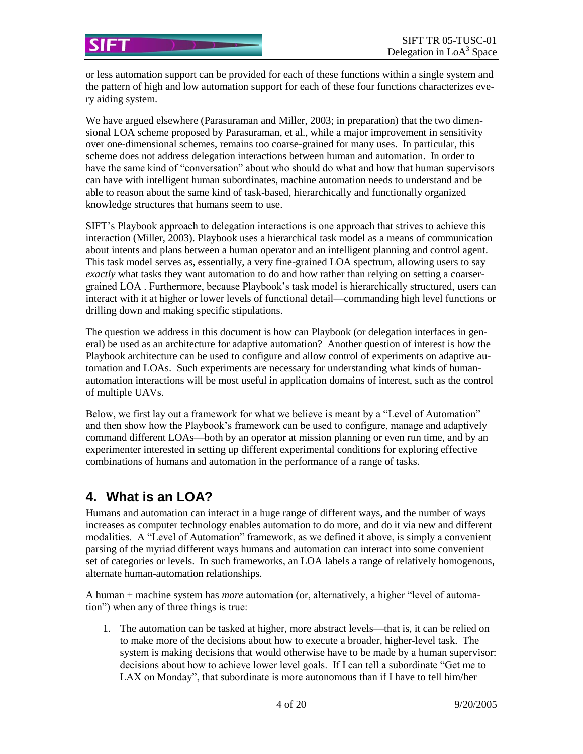or less automation support can be provided for each of these functions within a single system and the pattern of high and low automation support for each of these four functions characterizes every aiding system.

We have argued elsewhere (Parasuraman and Miller, 2003; in preparation) that the two dimensional LOA scheme proposed by Parasuraman, et al., while a major improvement in sensitivity over one-dimensional schemes, remains too coarse-grained for many uses. In particular, this scheme does not address delegation interactions between human and automation. In order to have the same kind of "conversation" about who should do what and how that human supervisors can have with intelligent human subordinates, machine automation needs to understand and be able to reason about the same kind of task-based, hierarchically and functionally organized knowledge structures that humans seem to use.

SIFT's Playbook approach to delegation interactions is one approach that strives to achieve this interaction (Miller, 2003). Playbook uses a hierarchical task model as a means of communication about intents and plans between a human operator and an intelligent planning and control agent. This task model serves as, essentially, a very fine-grained LOA spectrum, allowing users to say *exactly* what tasks they want automation to do and how rather than relying on setting a coarsergrained LOA . Furthermore, because Playbook's task model is hierarchically structured, users can interact with it at higher or lower levels of functional detail—commanding high level functions or drilling down and making specific stipulations.

The question we address in this document is how can Playbook (or delegation interfaces in general) be used as an architecture for adaptive automation? Another question of interest is how the Playbook architecture can be used to configure and allow control of experiments on adaptive automation and LOAs. Such experiments are necessary for understanding what kinds of humanautomation interactions will be most useful in application domains of interest, such as the control of multiple UAVs.

Below, we first lay out a framework for what we believe is meant by a "Level of Automation" and then show how the Playbook's framework can be used to configure, manage and adaptively command different LOAs—both by an operator at mission planning or even run time, and by an experimenter interested in setting up different experimental conditions for exploring effective combinations of humans and automation in the performance of a range of tasks.

# **4. What is an LOA?**

Humans and automation can interact in a huge range of different ways, and the number of ways increases as computer technology enables automation to do more, and do it via new and different modalities. A "Level of Automation" framework, as we defined it above, is simply a convenient parsing of the myriad different ways humans and automation can interact into some convenient set of categories or levels. In such frameworks, an LOA labels a range of relatively homogenous, alternate human-automation relationships.

A human + machine system has *more* automation (or, alternatively, a higher "level of automation") when any of three things is true:

1. The automation can be tasked at higher, more abstract levels—that is, it can be relied on to make more of the decisions about how to execute a broader, higher-level task. The system is making decisions that would otherwise have to be made by a human supervisor: decisions about how to achieve lower level goals. If I can tell a subordinate "Get me to LAX on Monday", that subordinate is more autonomous than if I have to tell him/her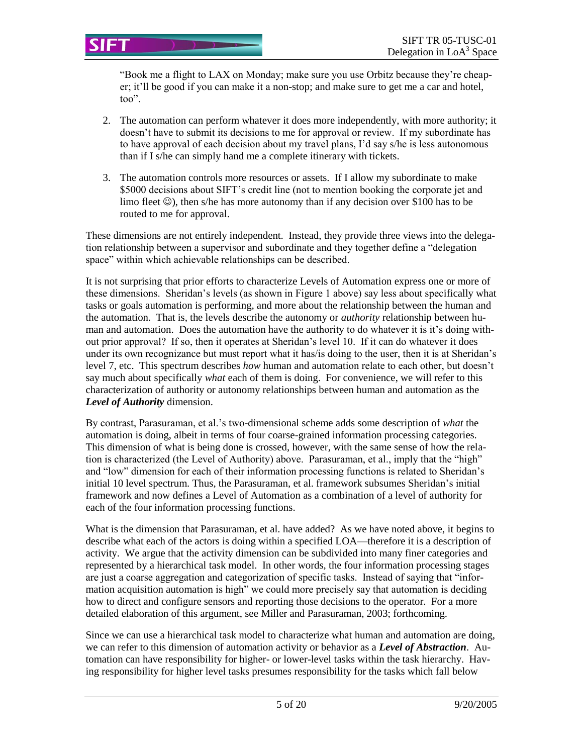"Book me a flight to LAX on Monday; make sure you use Orbitz because they're cheaper; it'll be good if you can make it a non-stop; and make sure to get me a car and hotel, too".

- 2. The automation can perform whatever it does more independently, with more authority; it doesn't have to submit its decisions to me for approval or review. If my subordinate has to have approval of each decision about my travel plans, I'd say s/he is less autonomous than if I s/he can simply hand me a complete itinerary with tickets.
- 3. The automation controls more resources or assets. If I allow my subordinate to make \$5000 decisions about SIFT's credit line (not to mention booking the corporate jet and limo fleet  $\circledcirc$ ), then s/he has more autonomy than if any decision over \$100 has to be routed to me for approval.

These dimensions are not entirely independent. Instead, they provide three views into the delegation relationship between a supervisor and subordinate and they together define a "delegation space" within which achievable relationships can be described.

It is not surprising that prior efforts to characterize Levels of Automation express one or more of these dimensions. Sheridan's levels (as shown in Figure 1 above) say less about specifically what tasks or goals automation is performing, and more about the relationship between the human and the automation. That is, the levels describe the autonomy or *authority* relationship between human and automation. Does the automation have the authority to do whatever it is it's doing without prior approval? If so, then it operates at Sheridan's level 10. If it can do whatever it does under its own recognizance but must report what it has/is doing to the user, then it is at Sheridan's level 7, etc. This spectrum describes *how* human and automation relate to each other, but doesn't say much about specifically *what* each of them is doing. For convenience, we will refer to this characterization of authority or autonomy relationships between human and automation as the *Level of Authority* dimension.

By contrast, Parasuraman, et al.'s two-dimensional scheme adds some description of *what* the automation is doing, albeit in terms of four coarse-grained information processing categories. This dimension of what is being done is crossed, however, with the same sense of how the relation is characterized (the Level of Authority) above. Parasuraman, et al., imply that the "high" and "low" dimension for each of their information processing functions is related to Sheridan's initial 10 level spectrum. Thus, the Parasuraman, et al. framework subsumes Sheridan's initial framework and now defines a Level of Automation as a combination of a level of authority for each of the four information processing functions.

What is the dimension that Parasuraman, et al. have added? As we have noted above, it begins to describe what each of the actors is doing within a specified LOA—therefore it is a description of activity. We argue that the activity dimension can be subdivided into many finer categories and represented by a hierarchical task model. In other words, the four information processing stages are just a coarse aggregation and categorization of specific tasks. Instead of saying that "information acquisition automation is high" we could more precisely say that automation is deciding how to direct and configure sensors and reporting those decisions to the operator. For a more detailed elaboration of this argument, see Miller and Parasuraman, 2003; forthcoming.

Since we can use a hierarchical task model to characterize what human and automation are doing, we can refer to this dimension of automation activity or behavior as a *Level of Abstraction*. Automation can have responsibility for higher- or lower-level tasks within the task hierarchy. Having responsibility for higher level tasks presumes responsibility for the tasks which fall below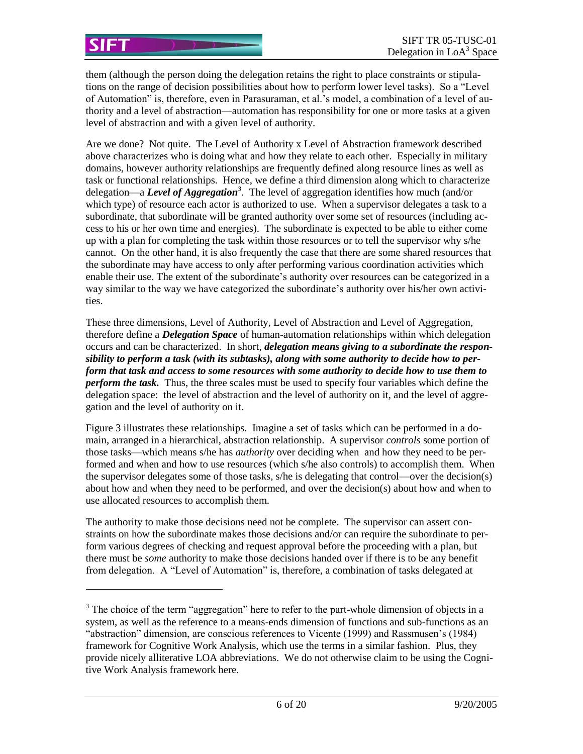l

them (although the person doing the delegation retains the right to place constraints or stipulations on the range of decision possibilities about how to perform lower level tasks). So a "Level of Automation" is, therefore, even in Parasuraman, et al.'s model, a combination of a level of authority and a level of abstraction—automation has responsibility for one or more tasks at a given level of abstraction and with a given level of authority.

Are we done? Not quite. The Level of Authority x Level of Abstraction framework described above characterizes who is doing what and how they relate to each other. Especially in military domains, however authority relationships are frequently defined along resource lines as well as task or functional relationships. Hence, we define a third dimension along which to characterize delegation—a *Level of Aggregation<sup>3</sup>* . The level of aggregation identifies how much (and/or which type) of resource each actor is authorized to use. When a supervisor delegates a task to a subordinate, that subordinate will be granted authority over some set of resources (including access to his or her own time and energies). The subordinate is expected to be able to either come up with a plan for completing the task within those resources or to tell the supervisor why s/he cannot. On the other hand, it is also frequently the case that there are some shared resources that the subordinate may have access to only after performing various coordination activities which enable their use. The extent of the subordinate's authority over resources can be categorized in a way similar to the way we have categorized the subordinate's authority over his/her own activities.

These three dimensions, Level of Authority, Level of Abstraction and Level of Aggregation, therefore define a *Delegation Space* of human-automation relationships within which delegation occurs and can be characterized. In short, *delegation means giving to a subordinate the responsibility to perform a task (with its subtasks), along with some authority to decide how to perform that task and access to some resources with some authority to decide how to use them to perform the task.* Thus, the three scales must be used to specify four variables which define the delegation space: the level of abstraction and the level of authority on it, and the level of aggregation and the level of authority on it.

Figure 3 illustrates these relationships. Imagine a set of tasks which can be performed in a domain, arranged in a hierarchical, abstraction relationship. A supervisor *controls* some portion of those tasks—which means s/he has *authority* over deciding when and how they need to be performed and when and how to use resources (which s/he also controls) to accomplish them. When the supervisor delegates some of those tasks, s/he is delegating that control—over the decision(s) about how and when they need to be performed, and over the decision(s) about how and when to use allocated resources to accomplish them.

The authority to make those decisions need not be complete. The supervisor can assert constraints on how the subordinate makes those decisions and/or can require the subordinate to perform various degrees of checking and request approval before the proceeding with a plan, but there must be *some* authority to make those decisions handed over if there is to be any benefit from delegation. A "Level of Automation" is, therefore, a combination of tasks delegated at

 $3$  The choice of the term "aggregation" here to refer to the part-whole dimension of objects in a system, as well as the reference to a means-ends dimension of functions and sub-functions as an "abstraction" dimension, are conscious references to Vicente (1999) and Rassmusen's (1984) framework for Cognitive Work Analysis, which use the terms in a similar fashion. Plus, they provide nicely alliterative LOA abbreviations. We do not otherwise claim to be using the Cognitive Work Analysis framework here.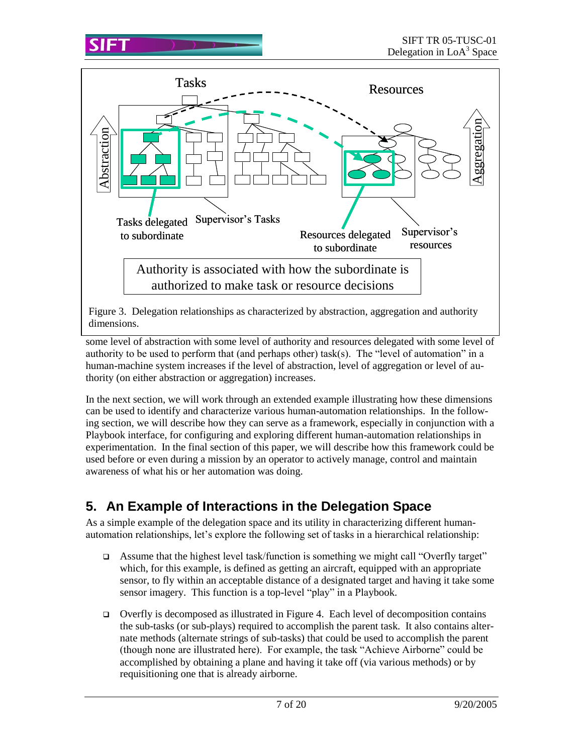

some level of abstraction with some level of authority and resources delegated with some level of dimensions.

authority to be used to perform that (and perhaps other) task(s). The "level of automation" in a human-machine system increases if the level of abstraction, level of aggregation or level of authority (on either abstraction or aggregation) increases.

In the next section, we will work through an extended example illustrating how these dimensions can be used to identify and characterize various human-automation relationships. In the following section, we will describe how they can serve as a framework, especially in conjunction with a Playbook interface, for configuring and exploring different human-automation relationships in experimentation. In the final section of this paper, we will describe how this framework could be used before or even during a mission by an operator to actively manage, control and maintain awareness of what his or her automation was doing.

# **5. An Example of Interactions in the Delegation Space**

As a simple example of the delegation space and its utility in characterizing different humanautomation relationships, let's explore the following set of tasks in a hierarchical relationship:

- Assume that the highest level task/function is something we might call "Overfly target" which, for this example, is defined as getting an aircraft, equipped with an appropriate sensor, to fly within an acceptable distance of a designated target and having it take some sensor imagery. This function is a top-level "play" in a Playbook.
- $\Box$  Overfly is decomposed as illustrated in Figure 4. Each level of decomposition contains the sub-tasks (or sub-plays) required to accomplish the parent task. It also contains alternate methods (alternate strings of sub-tasks) that could be used to accomplish the parent (though none are illustrated here). For example, the task "Achieve Airborne" could be accomplished by obtaining a plane and having it take off (via various methods) or by requisitioning one that is already airborne.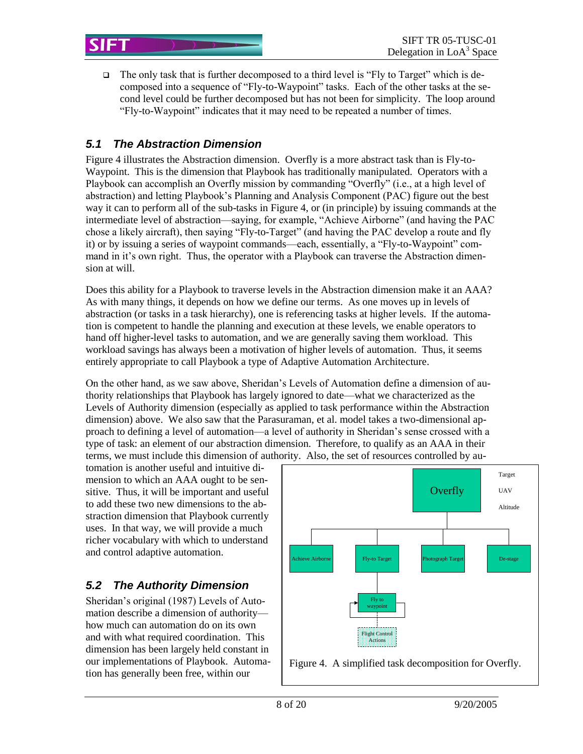$\Box$  The only task that is further decomposed to a third level is "Fly to Target" which is decomposed into a sequence of "Fly-to-Waypoint" tasks. Each of the other tasks at the second level could be further decomposed but has not been for simplicity. The loop around "Fly-to-Waypoint" indicates that it may need to be repeated a number of times.

## *5.1 The Abstraction Dimension*

Figure 4 illustrates the Abstraction dimension. Overfly is a more abstract task than is Fly-to-Waypoint. This is the dimension that Playbook has traditionally manipulated. Operators with a Playbook can accomplish an Overfly mission by commanding "Overfly" (i.e., at a high level of abstraction) and letting Playbook's Planning and Analysis Component (PAC) figure out the best way it can to perform all of the sub-tasks in Figure 4, or (in principle) by issuing commands at the intermediate level of abstraction—saying, for example, "Achieve Airborne" (and having the PAC chose a likely aircraft), then saying "Fly-to-Target" (and having the PAC develop a route and fly it) or by issuing a series of waypoint commands—each, essentially, a "Fly-to-Waypoint" command in it's own right. Thus, the operator with a Playbook can traverse the Abstraction dimension at will.

Does this ability for a Playbook to traverse levels in the Abstraction dimension make it an AAA? As with many things, it depends on how we define our terms. As one moves up in levels of abstraction (or tasks in a task hierarchy), one is referencing tasks at higher levels. If the automation is competent to handle the planning and execution at these levels, we enable operators to hand off higher-level tasks to automation, and we are generally saving them workload. This workload savings has always been a motivation of higher levels of automation. Thus, it seems entirely appropriate to call Playbook a type of Adaptive Automation Architecture.

On the other hand, as we saw above, Sheridan's Levels of Automation define a dimension of authority relationships that Playbook has largely ignored to date—what we characterized as the Levels of Authority dimension (especially as applied to task performance within the Abstraction dimension) above. We also saw that the Parasuraman, et al. model takes a two-dimensional approach to defining a level of automation—a level of authority in Sheridan's sense crossed with a type of task: an element of our abstraction dimension. Therefore, to qualify as an AAA in their terms, we must include this dimension of authority. Also, the set of resources controlled by au-

tomation is another useful and intuitive dimension to which an AAA ought to be sensitive. Thus, it will be important and useful to add these two new dimensions to the abstraction dimension that Playbook currently uses. In that way, we will provide a much richer vocabulary with which to understand and control adaptive automation.

# *5.2 The Authority Dimension*

Sheridan's original (1987) Levels of Automation describe a dimension of authority how much can automation do on its own and with what required coordination. This dimension has been largely held constant in our implementations of Playbook. Automation has generally been free, within our

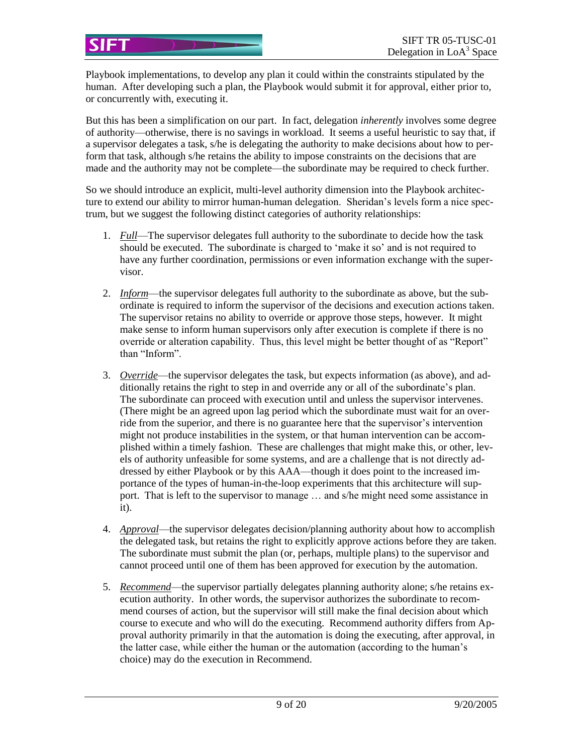Playbook implementations, to develop any plan it could within the constraints stipulated by the human. After developing such a plan, the Playbook would submit it for approval, either prior to, or concurrently with, executing it.

SIFT

But this has been a simplification on our part. In fact, delegation *inherently* involves some degree of authority—otherwise, there is no savings in workload. It seems a useful heuristic to say that, if a supervisor delegates a task, s/he is delegating the authority to make decisions about how to perform that task, although s/he retains the ability to impose constraints on the decisions that are made and the authority may not be complete—the subordinate may be required to check further.

So we should introduce an explicit, multi-level authority dimension into the Playbook architecture to extend our ability to mirror human-human delegation. Sheridan's levels form a nice spectrum, but we suggest the following distinct categories of authority relationships:

- 1. *Full*—The supervisor delegates full authority to the subordinate to decide how the task should be executed. The subordinate is charged to 'make it so' and is not required to have any further coordination, permissions or even information exchange with the supervisor.
- 2. *Inform*—the supervisor delegates full authority to the subordinate as above, but the subordinate is required to inform the supervisor of the decisions and execution actions taken. The supervisor retains no ability to override or approve those steps, however. It might make sense to inform human supervisors only after execution is complete if there is no override or alteration capability. Thus, this level might be better thought of as "Report" than "Inform".
- 3. *Override*—the supervisor delegates the task, but expects information (as above), and additionally retains the right to step in and override any or all of the subordinate's plan. The subordinate can proceed with execution until and unless the supervisor intervenes. (There might be an agreed upon lag period which the subordinate must wait for an override from the superior, and there is no guarantee here that the supervisor's intervention might not produce instabilities in the system, or that human intervention can be accomplished within a timely fashion. These are challenges that might make this, or other, levels of authority unfeasible for some systems, and are a challenge that is not directly addressed by either Playbook or by this AAA—though it does point to the increased importance of the types of human-in-the-loop experiments that this architecture will support. That is left to the supervisor to manage … and s/he might need some assistance in it).
- 4. *Approval*—the supervisor delegates decision/planning authority about how to accomplish the delegated task, but retains the right to explicitly approve actions before they are taken. The subordinate must submit the plan (or, perhaps, multiple plans) to the supervisor and cannot proceed until one of them has been approved for execution by the automation.
- 5. *Recommend*—the supervisor partially delegates planning authority alone; s/he retains execution authority. In other words, the supervisor authorizes the subordinate to recommend courses of action, but the supervisor will still make the final decision about which course to execute and who will do the executing. Recommend authority differs from Approval authority primarily in that the automation is doing the executing, after approval, in the latter case, while either the human or the automation (according to the human's choice) may do the execution in Recommend.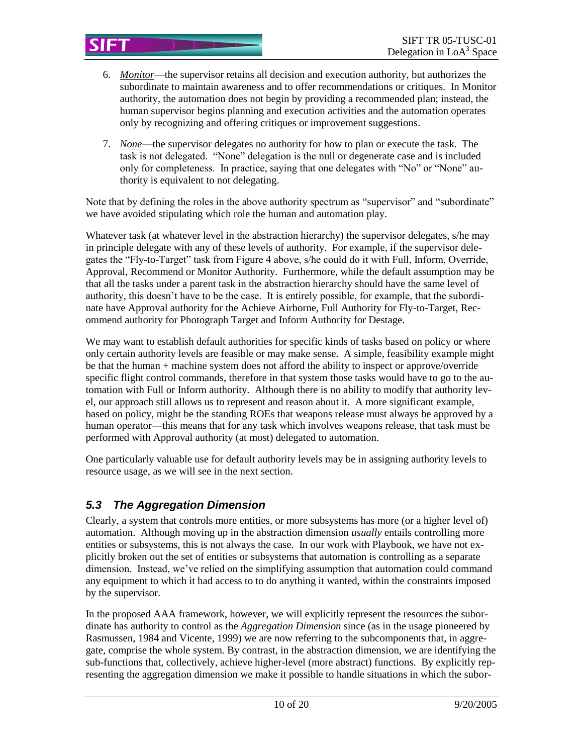- 6. *Monitor*—the supervisor retains all decision and execution authority, but authorizes the subordinate to maintain awareness and to offer recommendations or critiques. In Monitor authority, the automation does not begin by providing a recommended plan; instead, the human supervisor begins planning and execution activities and the automation operates only by recognizing and offering critiques or improvement suggestions.
- 7. *None*—the supervisor delegates no authority for how to plan or execute the task. The task is not delegated. "None" delegation is the null or degenerate case and is included only for completeness. In practice, saying that one delegates with "No" or "None" authority is equivalent to not delegating.

Note that by defining the roles in the above authority spectrum as "supervisor" and "subordinate" we have avoided stipulating which role the human and automation play.

Whatever task (at whatever level in the abstraction hierarchy) the supervisor delegates, s/he may in principle delegate with any of these levels of authority. For example, if the supervisor delegates the "Fly-to-Target" task from Figure 4 above, s/he could do it with Full, Inform, Override, Approval, Recommend or Monitor Authority. Furthermore, while the default assumption may be that all the tasks under a parent task in the abstraction hierarchy should have the same level of authority, this doesn't have to be the case. It is entirely possible, for example, that the subordinate have Approval authority for the Achieve Airborne, Full Authority for Fly-to-Target, Recommend authority for Photograph Target and Inform Authority for Destage.

We may want to establish default authorities for specific kinds of tasks based on policy or where only certain authority levels are feasible or may make sense. A simple, feasibility example might be that the human + machine system does not afford the ability to inspect or approve/override specific flight control commands, therefore in that system those tasks would have to go to the automation with Full or Inform authority. Although there is no ability to modify that authority level, our approach still allows us to represent and reason about it. A more significant example, based on policy, might be the standing ROEs that weapons release must always be approved by a human operator—this means that for any task which involves weapons release, that task must be performed with Approval authority (at most) delegated to automation.

One particularly valuable use for default authority levels may be in assigning authority levels to resource usage, as we will see in the next section.

# *5.3 The Aggregation Dimension*

Clearly, a system that controls more entities, or more subsystems has more (or a higher level of) automation. Although moving up in the abstraction dimension *usually* entails controlling more entities or subsystems, this is not always the case. In our work with Playbook, we have not explicitly broken out the set of entities or subsystems that automation is controlling as a separate dimension. Instead, we've relied on the simplifying assumption that automation could command any equipment to which it had access to to do anything it wanted, within the constraints imposed by the supervisor.

In the proposed AAA framework, however, we will explicitly represent the resources the subordinate has authority to control as the *Aggregation Dimension* since (as in the usage pioneered by Rasmussen, 1984 and Vicente, 1999) we are now referring to the subcomponents that, in aggregate, comprise the whole system. By contrast, in the abstraction dimension, we are identifying the sub-functions that, collectively, achieve higher-level (more abstract) functions. By explicitly representing the aggregation dimension we make it possible to handle situations in which the subor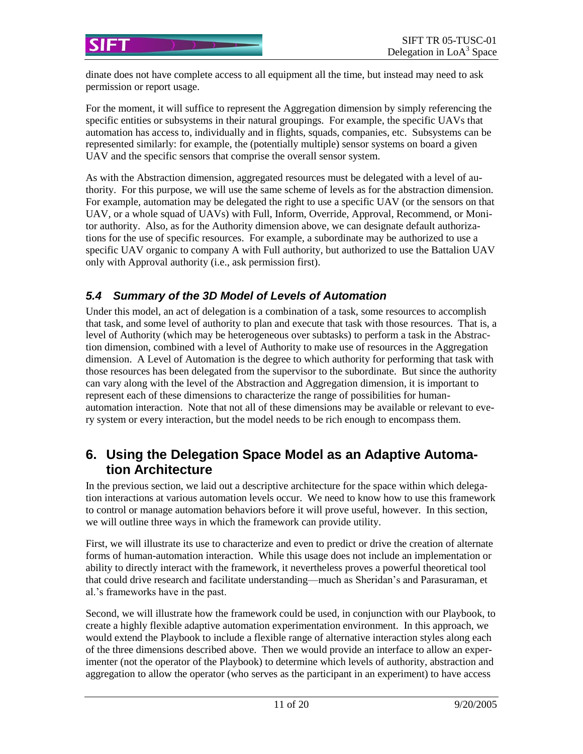dinate does not have complete access to all equipment all the time, but instead may need to ask permission or report usage.

For the moment, it will suffice to represent the Aggregation dimension by simply referencing the specific entities or subsystems in their natural groupings. For example, the specific UAVs that automation has access to, individually and in flights, squads, companies, etc. Subsystems can be represented similarly: for example, the (potentially multiple) sensor systems on board a given UAV and the specific sensors that comprise the overall sensor system.

As with the Abstraction dimension, aggregated resources must be delegated with a level of authority. For this purpose, we will use the same scheme of levels as for the abstraction dimension. For example, automation may be delegated the right to use a specific UAV (or the sensors on that UAV, or a whole squad of UAVs) with Full, Inform, Override, Approval, Recommend, or Monitor authority. Also, as for the Authority dimension above, we can designate default authorizations for the use of specific resources. For example, a subordinate may be authorized to use a specific UAV organic to company A with Full authority, but authorized to use the Battalion UAV only with Approval authority (i.e., ask permission first).

## *5.4 Summary of the 3D Model of Levels of Automation*

Under this model, an act of delegation is a combination of a task, some resources to accomplish that task, and some level of authority to plan and execute that task with those resources. That is, a level of Authority (which may be heterogeneous over subtasks) to perform a task in the Abstraction dimension, combined with a level of Authority to make use of resources in the Aggregation dimension. A Level of Automation is the degree to which authority for performing that task with those resources has been delegated from the supervisor to the subordinate. But since the authority can vary along with the level of the Abstraction and Aggregation dimension, it is important to represent each of these dimensions to characterize the range of possibilities for humanautomation interaction. Note that not all of these dimensions may be available or relevant to every system or every interaction, but the model needs to be rich enough to encompass them.

# **6. Using the Delegation Space Model as an Adaptive Automation Architecture**

In the previous section, we laid out a descriptive architecture for the space within which delegation interactions at various automation levels occur. We need to know how to use this framework to control or manage automation behaviors before it will prove useful, however. In this section, we will outline three ways in which the framework can provide utility.

First, we will illustrate its use to characterize and even to predict or drive the creation of alternate forms of human-automation interaction. While this usage does not include an implementation or ability to directly interact with the framework, it nevertheless proves a powerful theoretical tool that could drive research and facilitate understanding—much as Sheridan's and Parasuraman, et al.'s frameworks have in the past.

Second, we will illustrate how the framework could be used, in conjunction with our Playbook, to create a highly flexible adaptive automation experimentation environment. In this approach, we would extend the Playbook to include a flexible range of alternative interaction styles along each of the three dimensions described above. Then we would provide an interface to allow an experimenter (not the operator of the Playbook) to determine which levels of authority, abstraction and aggregation to allow the operator (who serves as the participant in an experiment) to have access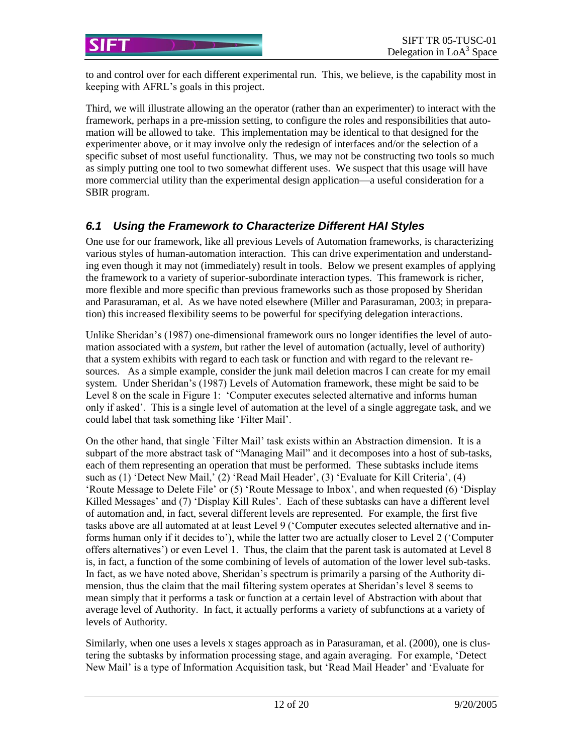to and control over for each different experimental run. This, we believe, is the capability most in keeping with AFRL's goals in this project.

Third, we will illustrate allowing an the operator (rather than an experimenter) to interact with the framework, perhaps in a pre-mission setting, to configure the roles and responsibilities that automation will be allowed to take. This implementation may be identical to that designed for the experimenter above, or it may involve only the redesign of interfaces and/or the selection of a specific subset of most useful functionality. Thus, we may not be constructing two tools so much as simply putting one tool to two somewhat different uses. We suspect that this usage will have more commercial utility than the experimental design application—a useful consideration for a SBIR program.

#### *6.1 Using the Framework to Characterize Different HAI Styles*

One use for our framework, like all previous Levels of Automation frameworks, is characterizing various styles of human-automation interaction. This can drive experimentation and understanding even though it may not (immediately) result in tools. Below we present examples of applying the framework to a variety of superior-subordinate interaction types. This framework is richer, more flexible and more specific than previous frameworks such as those proposed by Sheridan and Parasuraman, et al. As we have noted elsewhere (Miller and Parasuraman, 2003; in preparation) this increased flexibility seems to be powerful for specifying delegation interactions.

Unlike Sheridan's (1987) one-dimensional framework ours no longer identifies the level of automation associated with a *system*, but rather the level of automation (actually, level of authority) that a system exhibits with regard to each task or function and with regard to the relevant resources. As a simple example, consider the junk mail deletion macros I can create for my email system. Under Sheridan's (1987) Levels of Automation framework, these might be said to be Level 8 on the scale in Figure 1: 'Computer executes selected alternative and informs human only if asked'. This is a single level of automation at the level of a single aggregate task, and we could label that task something like 'Filter Mail'.

On the other hand, that single `Filter Mail' task exists within an Abstraction dimension. It is a subpart of the more abstract task of "Managing Mail" and it decomposes into a host of sub-tasks, each of them representing an operation that must be performed. These subtasks include items such as (1) 'Detect New Mail,' (2) 'Read Mail Header', (3) 'Evaluate for Kill Criteria', (4) 'Route Message to Delete File' or (5) 'Route Message to Inbox', and when requested (6) 'Display Killed Messages' and (7) 'Display Kill Rules'. Each of these subtasks can have a different level of automation and, in fact, several different levels are represented. For example, the first five tasks above are all automated at at least Level 9 ('Computer executes selected alternative and informs human only if it decides to'), while the latter two are actually closer to Level 2 ('Computer offers alternatives') or even Level 1. Thus, the claim that the parent task is automated at Level 8 is, in fact, a function of the some combining of levels of automation of the lower level sub-tasks. In fact, as we have noted above, Sheridan's spectrum is primarily a parsing of the Authority dimension, thus the claim that the mail filtering system operates at Sheridan's level 8 seems to mean simply that it performs a task or function at a certain level of Abstraction with about that average level of Authority. In fact, it actually performs a variety of subfunctions at a variety of levels of Authority.

Similarly, when one uses a levels x stages approach as in Parasuraman, et al. (2000), one is clustering the subtasks by information processing stage, and again averaging. For example, 'Detect New Mail' is a type of Information Acquisition task, but 'Read Mail Header' and 'Evaluate for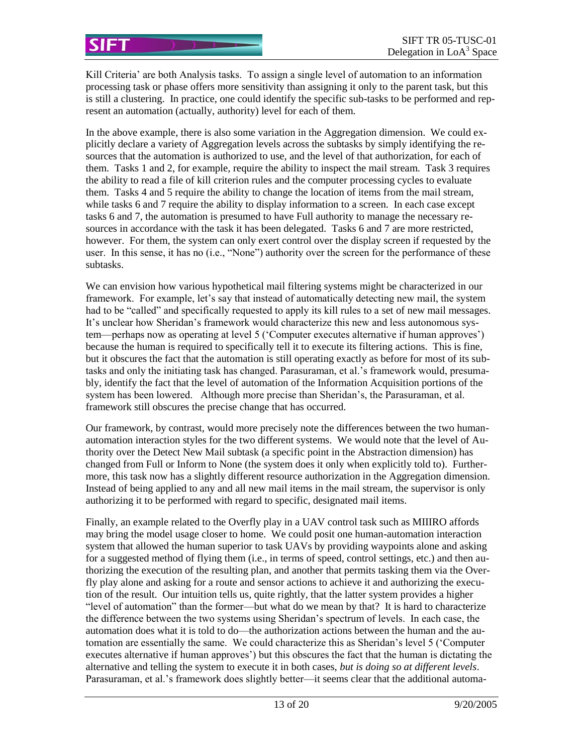Kill Criteria' are both Analysis tasks. To assign a single level of automation to an information processing task or phase offers more sensitivity than assigning it only to the parent task, but this is still a clustering. In practice, one could identify the specific sub-tasks to be performed and represent an automation (actually, authority) level for each of them.

In the above example, there is also some variation in the Aggregation dimension. We could explicitly declare a variety of Aggregation levels across the subtasks by simply identifying the resources that the automation is authorized to use, and the level of that authorization, for each of them. Tasks 1 and 2, for example, require the ability to inspect the mail stream. Task 3 requires the ability to read a file of kill criterion rules and the computer processing cycles to evaluate them. Tasks 4 and 5 require the ability to change the location of items from the mail stream, while tasks 6 and 7 require the ability to display information to a screen. In each case except tasks 6 and 7, the automation is presumed to have Full authority to manage the necessary resources in accordance with the task it has been delegated. Tasks 6 and 7 are more restricted, however. For them, the system can only exert control over the display screen if requested by the user. In this sense, it has no (i.e., "None") authority over the screen for the performance of these subtasks.

We can envision how various hypothetical mail filtering systems might be characterized in our framework. For example, let's say that instead of automatically detecting new mail, the system had to be "called" and specifically requested to apply its kill rules to a set of new mail messages. It's unclear how Sheridan's framework would characterize this new and less autonomous system—perhaps now as operating at level 5 ('Computer executes alternative if human approves') because the human is required to specifically tell it to execute its filtering actions. This is fine, but it obscures the fact that the automation is still operating exactly as before for most of its subtasks and only the initiating task has changed. Parasuraman, et al.'s framework would, presumably, identify the fact that the level of automation of the Information Acquisition portions of the system has been lowered. Although more precise than Sheridan's, the Parasuraman, et al. framework still obscures the precise change that has occurred.

Our framework, by contrast, would more precisely note the differences between the two humanautomation interaction styles for the two different systems. We would note that the level of Authority over the Detect New Mail subtask (a specific point in the Abstraction dimension) has changed from Full or Inform to None (the system does it only when explicitly told to). Furthermore, this task now has a slightly different resource authorization in the Aggregation dimension. Instead of being applied to any and all new mail items in the mail stream, the supervisor is only authorizing it to be performed with regard to specific, designated mail items.

Finally, an example related to the Overfly play in a UAV control task such as MIIIRO affords may bring the model usage closer to home. We could posit one human-automation interaction system that allowed the human superior to task UAVs by providing waypoints alone and asking for a suggested method of flying them (i.e., in terms of speed, control settings, etc.) and then authorizing the execution of the resulting plan, and another that permits tasking them via the Overfly play alone and asking for a route and sensor actions to achieve it and authorizing the execution of the result. Our intuition tells us, quite rightly, that the latter system provides a higher "level of automation" than the former—but what do we mean by that? It is hard to characterize the difference between the two systems using Sheridan's spectrum of levels. In each case, the automation does what it is told to do—the authorization actions between the human and the automation are essentially the same. We could characterize this as Sheridan's level 5 ('Computer executes alternative if human approves') but this obscures the fact that the human is dictating the alternative and telling the system to execute it in both cases, *but is doing so at different levels*. Parasuraman, et al.'s framework does slightly better—it seems clear that the additional automa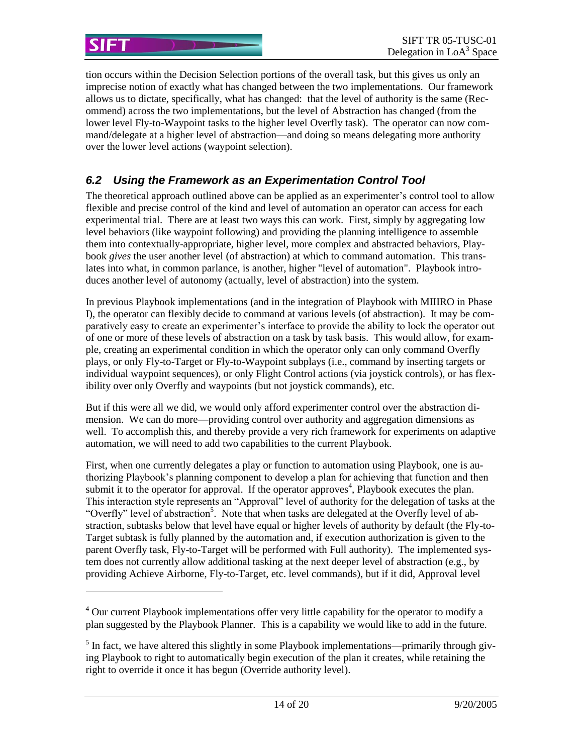tion occurs within the Decision Selection portions of the overall task, but this gives us only an imprecise notion of exactly what has changed between the two implementations. Our framework allows us to dictate, specifically, what has changed: that the level of authority is the same (Recommend) across the two implementations, but the level of Abstraction has changed (from the lower level Fly-to-Waypoint tasks to the higher level Overfly task). The operator can now command/delegate at a higher level of abstraction—and doing so means delegating more authority over the lower level actions (waypoint selection).

#### *6.2 Using the Framework as an Experimentation Control Tool*

The theoretical approach outlined above can be applied as an experimenter's control tool to allow flexible and precise control of the kind and level of automation an operator can access for each experimental trial. There are at least two ways this can work. First, simply by aggregating low level behaviors (like waypoint following) and providing the planning intelligence to assemble them into contextually-appropriate, higher level, more complex and abstracted behaviors, Playbook *gives* the user another level (of abstraction) at which to command automation. This translates into what, in common parlance, is another, higher "level of automation". Playbook introduces another level of autonomy (actually, level of abstraction) into the system.

In previous Playbook implementations (and in the integration of Playbook with MIIIRO in Phase I), the operator can flexibly decide to command at various levels (of abstraction). It may be comparatively easy to create an experimenter's interface to provide the ability to lock the operator out of one or more of these levels of abstraction on a task by task basis. This would allow, for example, creating an experimental condition in which the operator only can only command Overfly plays, or only Fly-to-Target or Fly-to-Waypoint subplays (i.e., command by inserting targets or individual waypoint sequences), or only Flight Control actions (via joystick controls), or has flexibility over only Overfly and waypoints (but not joystick commands), etc.

But if this were all we did, we would only afford experimenter control over the abstraction dimension. We can do more—providing control over authority and aggregation dimensions as well. To accomplish this, and thereby provide a very rich framework for experiments on adaptive automation, we will need to add two capabilities to the current Playbook.

First, when one currently delegates a play or function to automation using Playbook, one is authorizing Playbook's planning component to develop a plan for achieving that function and then submit it to the operator for approval. If the operator approves<sup>4</sup>, Playbook executes the plan. This interaction style represents an "Approval" level of authority for the delegation of tasks at the "Overfly" level of abstraction<sup>5</sup>. Note that when tasks are delegated at the Overfly level of abstraction, subtasks below that level have equal or higher levels of authority by default (the Fly-to-Target subtask is fully planned by the automation and, if execution authorization is given to the parent Overfly task, Fly-to-Target will be performed with Full authority). The implemented system does not currently allow additional tasking at the next deeper level of abstraction (e.g., by providing Achieve Airborne, Fly-to-Target, etc. level commands), but if it did, Approval level

l

SIFT

 $<sup>4</sup>$  Our current Playbook implementations offer very little capability for the operator to modify a</sup> plan suggested by the Playbook Planner. This is a capability we would like to add in the future.

 $<sup>5</sup>$  In fact, we have altered this slightly in some Playbook implementations—primarily through giv-</sup> ing Playbook to right to automatically begin execution of the plan it creates, while retaining the right to override it once it has begun (Override authority level).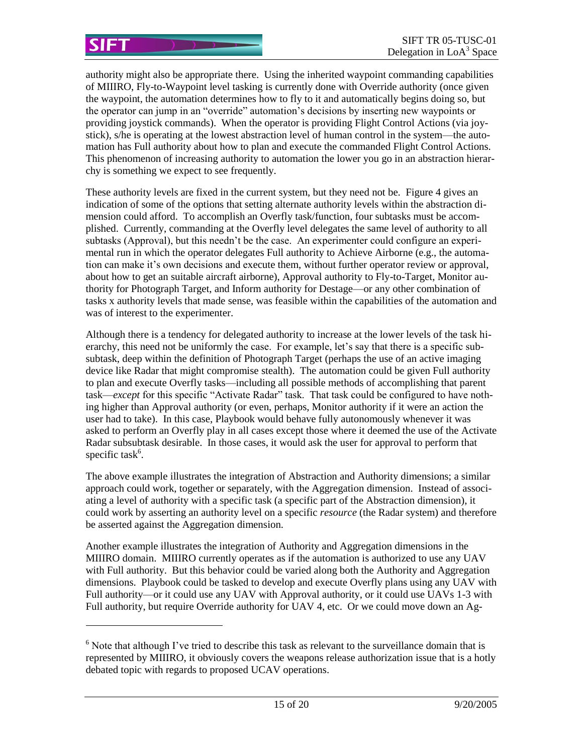l

authority might also be appropriate there. Using the inherited waypoint commanding capabilities of MIIIRO, Fly-to-Waypoint level tasking is currently done with Override authority (once given the waypoint, the automation determines how to fly to it and automatically begins doing so, but the operator can jump in an "override" automation's decisions by inserting new waypoints or providing joystick commands). When the operator is providing Flight Control Actions (via joystick), s/he is operating at the lowest abstraction level of human control in the system—the automation has Full authority about how to plan and execute the commanded Flight Control Actions. This phenomenon of increasing authority to automation the lower you go in an abstraction hierarchy is something we expect to see frequently.

These authority levels are fixed in the current system, but they need not be. Figure 4 gives an indication of some of the options that setting alternate authority levels within the abstraction dimension could afford. To accomplish an Overfly task/function, four subtasks must be accomplished. Currently, commanding at the Overfly level delegates the same level of authority to all subtasks (Approval), but this needn't be the case. An experimenter could configure an experimental run in which the operator delegates Full authority to Achieve Airborne (e.g., the automation can make it's own decisions and execute them, without further operator review or approval, about how to get an suitable aircraft airborne), Approval authority to Fly-to-Target, Monitor authority for Photograph Target, and Inform authority for Destage—or any other combination of tasks x authority levels that made sense, was feasible within the capabilities of the automation and was of interest to the experimenter.

Although there is a tendency for delegated authority to increase at the lower levels of the task hierarchy, this need not be uniformly the case. For example, let's say that there is a specific subsubtask, deep within the definition of Photograph Target (perhaps the use of an active imaging device like Radar that might compromise stealth). The automation could be given Full authority to plan and execute Overfly tasks—including all possible methods of accomplishing that parent task—*except* for this specific "Activate Radar" task. That task could be configured to have nothing higher than Approval authority (or even, perhaps, Monitor authority if it were an action the user had to take). In this case, Playbook would behave fully autonomously whenever it was asked to perform an Overfly play in all cases except those where it deemed the use of the Activate Radar subsubtask desirable. In those cases, it would ask the user for approval to perform that specific task<sup>6</sup>.

The above example illustrates the integration of Abstraction and Authority dimensions; a similar approach could work, together or separately, with the Aggregation dimension. Instead of associating a level of authority with a specific task (a specific part of the Abstraction dimension), it could work by asserting an authority level on a specific *resource* (the Radar system) and therefore be asserted against the Aggregation dimension.

Another example illustrates the integration of Authority and Aggregation dimensions in the MIIIRO domain. MIIIRO currently operates as if the automation is authorized to use any UAV with Full authority. But this behavior could be varied along both the Authority and Aggregation dimensions. Playbook could be tasked to develop and execute Overfly plans using any UAV with Full authority—or it could use any UAV with Approval authority, or it could use UAVs 1-3 with Full authority, but require Override authority for UAV 4, etc. Or we could move down an Ag-

 $<sup>6</sup>$  Note that although I've tried to describe this task as relevant to the surveillance domain that is</sup> represented by MIIIRO, it obviously covers the weapons release authorization issue that is a hotly debated topic with regards to proposed UCAV operations.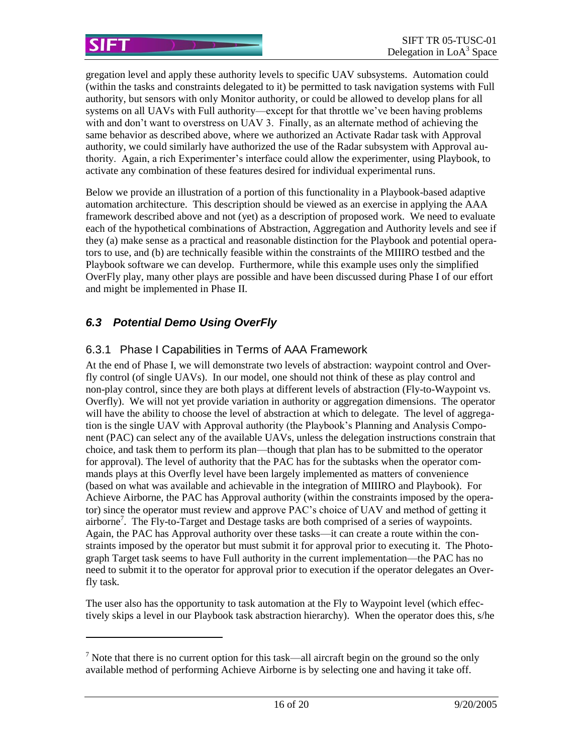gregation level and apply these authority levels to specific UAV subsystems. Automation could (within the tasks and constraints delegated to it) be permitted to task navigation systems with Full authority, but sensors with only Monitor authority, or could be allowed to develop plans for all systems on all UAVs with Full authority—except for that throttle we've been having problems with and don't want to overstress on UAV 3. Finally, as an alternate method of achieving the same behavior as described above, where we authorized an Activate Radar task with Approval authority, we could similarly have authorized the use of the Radar subsystem with Approval authority. Again, a rich Experimenter's interface could allow the experimenter, using Playbook, to activate any combination of these features desired for individual experimental runs.

Below we provide an illustration of a portion of this functionality in a Playbook-based adaptive automation architecture. This description should be viewed as an exercise in applying the AAA framework described above and not (yet) as a description of proposed work. We need to evaluate each of the hypothetical combinations of Abstraction, Aggregation and Authority levels and see if they (a) make sense as a practical and reasonable distinction for the Playbook and potential operators to use, and (b) are technically feasible within the constraints of the MIIIRO testbed and the Playbook software we can develop. Furthermore, while this example uses only the simplified OverFly play, many other plays are possible and have been discussed during Phase I of our effort and might be implemented in Phase II.

## *6.3 Potential Demo Using OverFly*

 $\overline{a}$ 

#### 6.3.1 Phase I Capabilities in Terms of AAA Framework

At the end of Phase I, we will demonstrate two levels of abstraction: waypoint control and Overfly control (of single UAVs). In our model, one should not think of these as play control and non-play control, since they are both plays at different levels of abstraction (Fly-to-Waypoint vs. Overfly). We will not yet provide variation in authority or aggregation dimensions. The operator will have the ability to choose the level of abstraction at which to delegate. The level of aggregation is the single UAV with Approval authority (the Playbook's Planning and Analysis Component (PAC) can select any of the available UAVs, unless the delegation instructions constrain that choice, and task them to perform its plan—though that plan has to be submitted to the operator for approval). The level of authority that the PAC has for the subtasks when the operator commands plays at this Overfly level have been largely implemented as matters of convenience (based on what was available and achievable in the integration of MIIIRO and Playbook). For Achieve Airborne, the PAC has Approval authority (within the constraints imposed by the operator) since the operator must review and approve PAC's choice of UAV and method of getting it airborne<sup>7</sup>. The Fly-to-Target and Destage tasks are both comprised of a series of waypoints. Again, the PAC has Approval authority over these tasks—it can create a route within the constraints imposed by the operator but must submit it for approval prior to executing it. The Photograph Target task seems to have Full authority in the current implementation—the PAC has no need to submit it to the operator for approval prior to execution if the operator delegates an Overfly task.

The user also has the opportunity to task automation at the Fly to Waypoint level (which effectively skips a level in our Playbook task abstraction hierarchy). When the operator does this, s/he

<sup>&</sup>lt;sup>7</sup> Note that there is no current option for this task—all aircraft begin on the ground so the only available method of performing Achieve Airborne is by selecting one and having it take off.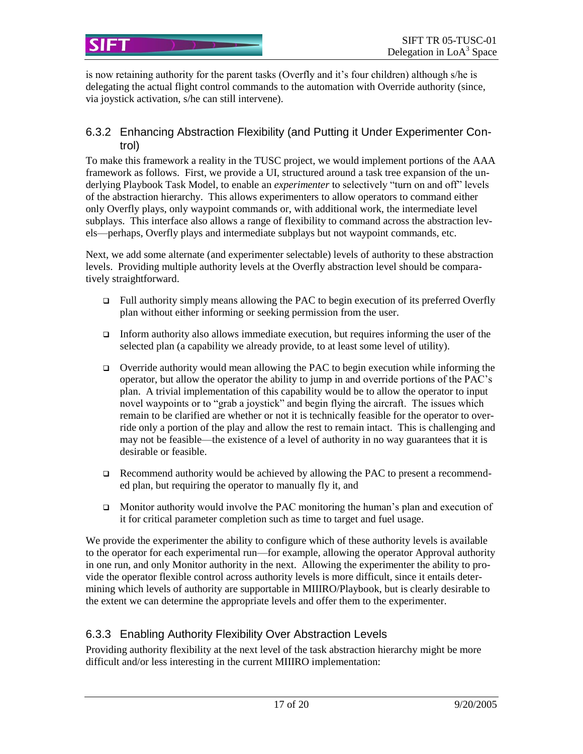is now retaining authority for the parent tasks (Overfly and it's four children) although s/he is delegating the actual flight control commands to the automation with Override authority (since, via joystick activation, s/he can still intervene).

#### 6.3.2 Enhancing Abstraction Flexibility (and Putting it Under Experimenter Control)

To make this framework a reality in the TUSC project, we would implement portions of the AAA framework as follows. First, we provide a UI, structured around a task tree expansion of the underlying Playbook Task Model, to enable an *experimenter* to selectively "turn on and off" levels of the abstraction hierarchy. This allows experimenters to allow operators to command either only Overfly plays, only waypoint commands or, with additional work, the intermediate level subplays. This interface also allows a range of flexibility to command across the abstraction levels—perhaps, Overfly plays and intermediate subplays but not waypoint commands, etc.

Next, we add some alternate (and experimenter selectable) levels of authority to these abstraction levels. Providing multiple authority levels at the Overfly abstraction level should be comparatively straightforward.

- Full authority simply means allowing the PAC to begin execution of its preferred Overfly plan without either informing or seeking permission from the user.
- Inform authority also allows immediate execution, but requires informing the user of the selected plan (a capability we already provide, to at least some level of utility).
- $\Box$  Override authority would mean allowing the PAC to begin execution while informing the operator, but allow the operator the ability to jump in and override portions of the PAC's plan. A trivial implementation of this capability would be to allow the operator to input novel waypoints or to "grab a joystick" and begin flying the aircraft. The issues which remain to be clarified are whether or not it is technically feasible for the operator to override only a portion of the play and allow the rest to remain intact. This is challenging and may not be feasible—the existence of a level of authority in no way guarantees that it is desirable or feasible.
- Recommend authority would be achieved by allowing the PAC to present a recommended plan, but requiring the operator to manually fly it, and
- **D** Monitor authority would involve the PAC monitoring the human's plan and execution of it for critical parameter completion such as time to target and fuel usage.

We provide the experimenter the ability to configure which of these authority levels is available to the operator for each experimental run—for example, allowing the operator Approval authority in one run, and only Monitor authority in the next. Allowing the experimenter the ability to provide the operator flexible control across authority levels is more difficult, since it entails determining which levels of authority are supportable in MIIIRO/Playbook, but is clearly desirable to the extent we can determine the appropriate levels and offer them to the experimenter.

# 6.3.3 Enabling Authority Flexibility Over Abstraction Levels

Providing authority flexibility at the next level of the task abstraction hierarchy might be more difficult and/or less interesting in the current MIIIRO implementation: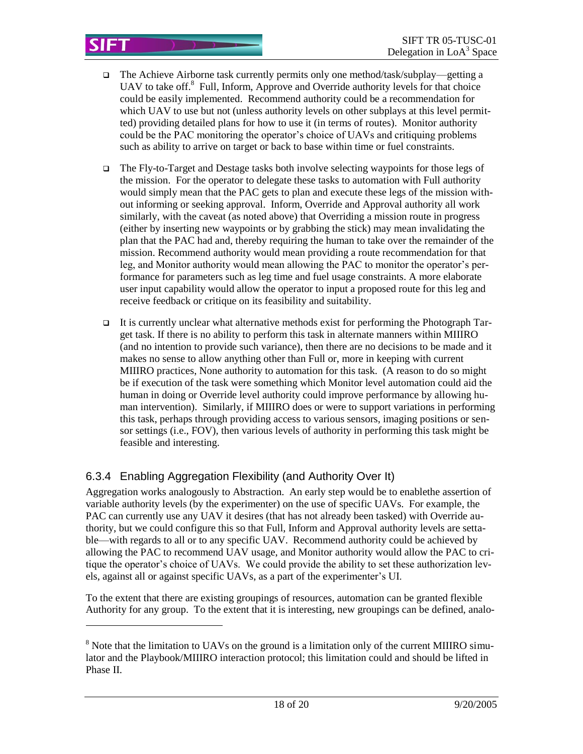- $\Box$  The Achieve Airborne task currently permits only one method/task/subplay—getting a UAV to take off.<sup>8</sup> Full, Inform, Approve and Override authority levels for that choice could be easily implemented. Recommend authority could be a recommendation for which UAV to use but not (unless authority levels on other subplays at this level permitted) providing detailed plans for how to use it (in terms of routes). Monitor authority could be the PAC monitoring the operator's choice of UAVs and critiquing problems such as ability to arrive on target or back to base within time or fuel constraints.
- The Fly-to-Target and Destage tasks both involve selecting waypoints for those legs of the mission. For the operator to delegate these tasks to automation with Full authority would simply mean that the PAC gets to plan and execute these legs of the mission without informing or seeking approval. Inform, Override and Approval authority all work similarly, with the caveat (as noted above) that Overriding a mission route in progress (either by inserting new waypoints or by grabbing the stick) may mean invalidating the plan that the PAC had and, thereby requiring the human to take over the remainder of the mission. Recommend authority would mean providing a route recommendation for that leg, and Monitor authority would mean allowing the PAC to monitor the operator's performance for parameters such as leg time and fuel usage constraints. A more elaborate user input capability would allow the operator to input a proposed route for this leg and receive feedback or critique on its feasibility and suitability.
- It is currently unclear what alternative methods exist for performing the Photograph Target task. If there is no ability to perform this task in alternate manners within MIIIRO (and no intention to provide such variance), then there are no decisions to be made and it makes no sense to allow anything other than Full or, more in keeping with current MIIIRO practices, None authority to automation for this task. (A reason to do so might be if execution of the task were something which Monitor level automation could aid the human in doing or Override level authority could improve performance by allowing human intervention). Similarly, if MIIIRO does or were to support variations in performing this task, perhaps through providing access to various sensors, imaging positions or sensor settings (i.e., FOV), then various levels of authority in performing this task might be feasible and interesting.

# 6.3.4 Enabling Aggregation Flexibility (and Authority Over It)

l

Aggregation works analogously to Abstraction. An early step would be to enablethe assertion of variable authority levels (by the experimenter) on the use of specific UAVs. For example, the PAC can currently use any UAV it desires (that has not already been tasked) with Override authority, but we could configure this so that Full, Inform and Approval authority levels are settable—with regards to all or to any specific UAV. Recommend authority could be achieved by allowing the PAC to recommend UAV usage, and Monitor authority would allow the PAC to critique the operator's choice of UAVs. We could provide the ability to set these authorization levels, against all or against specific UAVs, as a part of the experimenter's UI.

To the extent that there are existing groupings of resources, automation can be granted flexible Authority for any group. To the extent that it is interesting, new groupings can be defined, analo-

<sup>&</sup>lt;sup>8</sup> Note that the limitation to UAVs on the ground is a limitation only of the current MIIIRO simulator and the Playbook/MIIIRO interaction protocol; this limitation could and should be lifted in Phase II.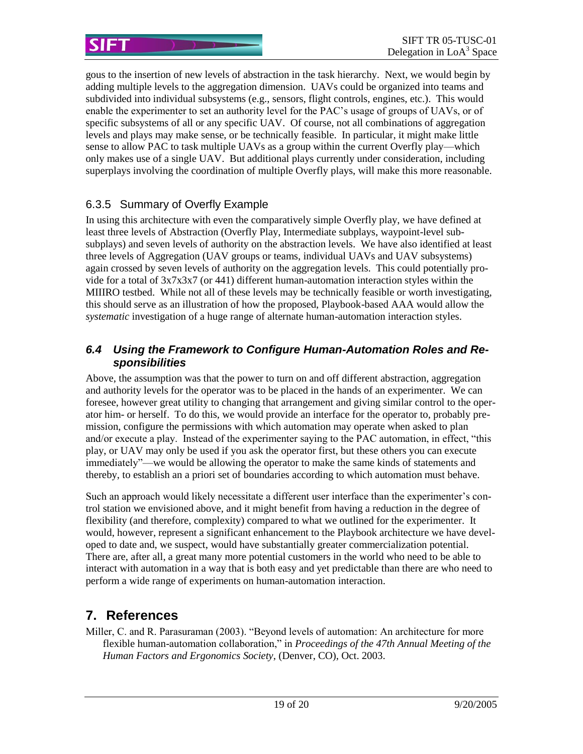gous to the insertion of new levels of abstraction in the task hierarchy. Next, we would begin by adding multiple levels to the aggregation dimension. UAVs could be organized into teams and subdivided into individual subsystems (e.g., sensors, flight controls, engines, etc.). This would enable the experimenter to set an authority level for the PAC's usage of groups of UAVs, or of specific subsystems of all or any specific UAV. Of course, not all combinations of aggregation levels and plays may make sense, or be technically feasible. In particular, it might make little sense to allow PAC to task multiple UAVs as a group within the current Overfly play—which only makes use of a single UAV. But additional plays currently under consideration, including superplays involving the coordination of multiple Overfly plays, will make this more reasonable.

#### 6.3.5 Summary of Overfly Example

In using this architecture with even the comparatively simple Overfly play, we have defined at least three levels of Abstraction (Overfly Play, Intermediate subplays, waypoint-level subsubplays) and seven levels of authority on the abstraction levels. We have also identified at least three levels of Aggregation (UAV groups or teams, individual UAVs and UAV subsystems) again crossed by seven levels of authority on the aggregation levels. This could potentially provide for a total of  $3x7x3x7$  (or 441) different human-automation interaction styles within the MIIIRO testbed. While not all of these levels may be technically feasible or worth investigating, this should serve as an illustration of how the proposed, Playbook-based AAA would allow the *systematic* investigation of a huge range of alternate human-automation interaction styles.

#### *6.4 Using the Framework to Configure Human-Automation Roles and Responsibilities*

Above, the assumption was that the power to turn on and off different abstraction, aggregation and authority levels for the operator was to be placed in the hands of an experimenter. We can foresee, however great utility to changing that arrangement and giving similar control to the operator him- or herself. To do this, we would provide an interface for the operator to, probably premission, configure the permissions with which automation may operate when asked to plan and/or execute a play. Instead of the experimenter saying to the PAC automation, in effect, "this play, or UAV may only be used if you ask the operator first, but these others you can execute immediately"—we would be allowing the operator to make the same kinds of statements and thereby, to establish an a priori set of boundaries according to which automation must behave.

Such an approach would likely necessitate a different user interface than the experimenter's control station we envisioned above, and it might benefit from having a reduction in the degree of flexibility (and therefore, complexity) compared to what we outlined for the experimenter. It would, however, represent a significant enhancement to the Playbook architecture we have developed to date and, we suspect, would have substantially greater commercialization potential. There are, after all, a great many more potential customers in the world who need to be able to interact with automation in a way that is both easy and yet predictable than there are who need to perform a wide range of experiments on human-automation interaction.

# **7. References**

Miller, C. and R. Parasuraman (2003). "Beyond levels of automation: An architecture for more flexible human-automation collaboration," in *Proceedings of the 47th Annual Meeting of the Human Factors and Ergonomics Society*, (Denver, CO), Oct. 2003.